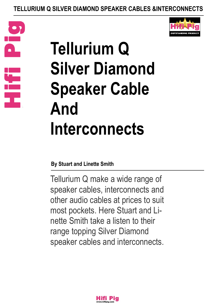





### **By Stuart and Linette Smith**

Tellurium Q make a wide range of speaker cables, interconnects and other audio cables at prices to suit most pockets. Here Stuart and Linette Smith take a listen to their range topping Silver Diamond speaker cables and interconnects.

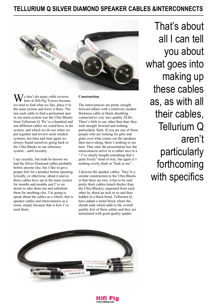

 $\int$ e don't do many cable reviews here at Hifi Pig Towers because we tend to find what we like, place it in the main system and leave it there. The last such cable to find a permanent spot in our main system was the Ultra Blacks from Tellurium Q. We've a hundred and one different cables we could have in the system, and which we do use when we put together and review more modest systems, but time and time again we always found ourselves going back to the Ultra Blacks in our reference system…until recently.

I say recently, but truth be known we had the Silver Diamond cables probably before anyone else, but I like to get a proper feel for a product before spouting lyrically, or otherwise, about it and so these cables have sat in the main system for months and months and I've no desire to take them out and substitute them for anything else. I'm going to speak about the cables as a whole; that is speaker cables and interconnects as a loom, simply because that is how I've used them.

#### **Construction**

The interconnects are pretty straight forward affairs with a relatively modest thickness cable in black sheathing connected to very nice quality XLRs. There's little to say other than that; they look straight forward and nothing particularly flash. If you are one of those people who are looking for glitz and glam over what comes out the speakers then move along, there's nothing to see here. That said, the presentation box the interconnects arrive in is rather nice in a " I've clearly bought something that's quite lovely" kind of way, but again it's nothing overly flash or "look at me".

Likewise the speaker cables. They're a similar construction to the Ultra Blacks in that there are two, it has to be said pretty thick cables (much thicker than the Ultra Blacks), separated from each other by about an inch or so and then hidden in a black braid. Tellurium Q have added a metal block where the sheath ends which adds to the overall quality feel of these cables and they are terminated with good quality spades

That's about all I can tell you about what goes into making up these cables as, as with all their cables, Tellurium Q aren't particularly forthcoming with specifics



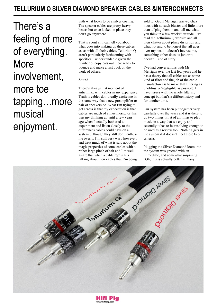There's a feeling of more of everything. More involvement, more toe tapping…more musical enjoyment.

with what looks to be a silver coating. The speaker cables are pretty heavy beasts but once locked in place they don't go anywhere.

That's about all I can tell you about what goes into making up these cables as, as with all their cables, Tellurium Q aren't particularly forthcoming with specifics…understandable given the number of copy cats out there ready to pounce and make a fast buck on the work of others.

#### **Sound**

There's always that moment of anticlimax with cables in my experience. Truth is cables don't really excite me in the same way that a new preamplifier or pair of speakers do. What I'm trying to get across is that my expectation is that cables are much of a muchness…or this was my thinking up until a few years ago when I actually bothered to experiment and listen closely to the differences cables could have on a system….though they still don't enthuse me overly. I'm still very wary however, and treat much of what is said about the magic properties of some cables with a rather large pinch of salt and I'm well aware that when a cable rep' starts talking about their cables that I'm being

sold to. Geoff Merrigan arrived chez nous with no such bluster and little more than a "plug them in and tell me what you think in a few weeks" attitude. I've read the Tellurium Q website and all their chatter about phase distortion and what not and to be honest that all goes over my head; it doesn't interest me, something either does its job or it doesn't…end of story!

I've had conversations with Mr Merrigan over the last few years and he has a theory that all cables act as some kind of filter and the job of the cable manufacturer is to make that filtering as unobtrusive/negligible as possible. I have issues with the whole filtering concept but that's a different story and for another time.

Our system has been put together very carefully over the years and it is there to do two things: First of all it has to play music in a way that we enjoy and secondly it has to be resolving enough to be used as a review tool. Nothing gets in the system if it doesn't meet these two criteria.

Plugging the Silver Diamond loom into the system was greeted with an immediate, and somewhat surprising "Oh, this is actually better in many



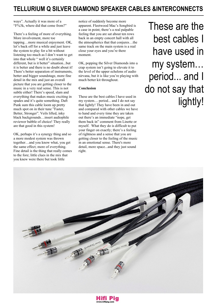ways". Actually it was more of a "F%3k, where did that come from?"

There's a feeling of more of everything. More involvement, more toe tapping…more musical enjoyment. OK, let's back off for a while and just leave the system to play for a bit without listening too much as I don't want to get into that whole " well it's certainly different, but is it better" situation...but it is better and there is no doubt about it! There's better separation of instruments, better and bigger soundstage, more fine detail in the mix and just an overall picture that you are getting closer to the music in a very real sense. This is not subtle either! There's speed, slam and everything that makes music exciting in spades and it's quite something. Daft Punk sum this cable loom up pretty much spot on in their tune "Faster, Better, Stronger". Veils lifted, inky black backgrounds…insert audiophile reviewer babble of choice! They really are that good in this system!

OK, perhaps it's a synergy thing and so a more modest system was thrown together…and you know what, you get the same effect; more of everything. Fine detail is the thing that really comes to the fore; little clues in the mix that you knew were there but took little

notice of suddenly become more apparent. Fleetwood Mac's Songbird is a case in point; there's a real palpable feeling that you are sat about ten rows back in an empty concert hall with all the atmospherics that that conjures…the same track on the main system is a real close your eyes and you're there moment.

OK, popping the Silver Diamonds into a crap system isn't going to elevate it to the level of the upper echelons of audio nirvana, but it is like you're playing with much better kit throughout.

#### **Conclusion**

These are the best cables I have used in my system… period... and I do not say that lightly! They have been in and out and compared with other cables we have to hand and every time they are taken out there's an immediate "nope, get them back in" comment from Linette or myself. What they do is difficult to put your finger on exactly; there's a feeling of rightness and a sense that you are getting closer to the feeling of the music in an emotional sense. There's more detail, more space...and they just sound right.

These are the best cables I have used in my system… period... and I do not say that lightly!